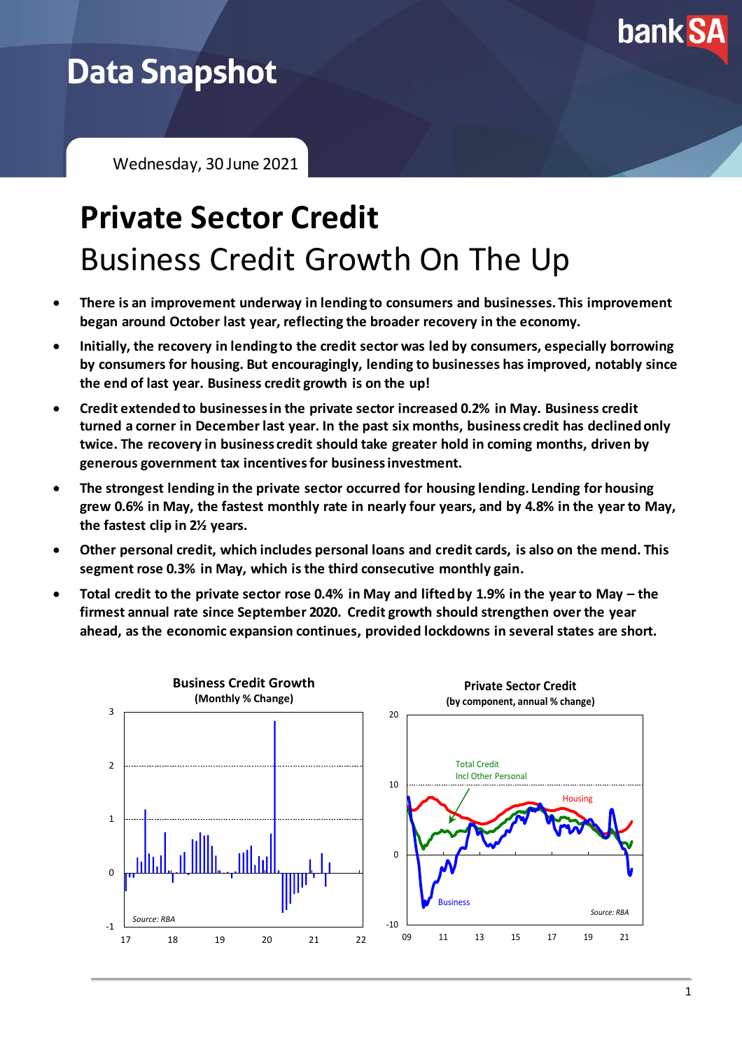

## **Data Snapshot**

Wednesday, 30 June 2021

# **Private Sector Credit** Business Credit Growth On The Up

- **There is an improvement underway in lending to consumers and businesses. This improvement began around October last year, reflecting the broader recovery in the economy.**
- **Initially, the recovery in lending to the credit sector was led by consumers, especially borrowing by consumers for housing. But encouragingly, lending to businesses has improved, notably since the end of last year. Business credit growth is on the up!**
- **Credit extended to businesses in the private sector increased 0.2% in May. Business credit turned a corner in December last year. In the past six months, business credit has declined only twice. The recovery in business credit should take greater hold in coming months, driven by generous government tax incentives for business investment.**
- **The strongest lending in the private sector occurred for housing lending. Lending for housing grew 0.6% in May, the fastest monthly rate in nearly four years, and by 4.8% in the year to May, the fastest clip in 2½ years.**
- **Other personal credit, which includes personal loans and credit cards, is also on the mend. This segment rose 0.3% in May, which is the third consecutive monthly gain.**
- **Total credit to the private sector rose 0.4% in May and lifted by 1.9% in the year to May – the firmest annual rate since September 2020. Credit growth should strengthen over the year ahead, as the economic expansion continues, provided lockdowns in several states are short.**

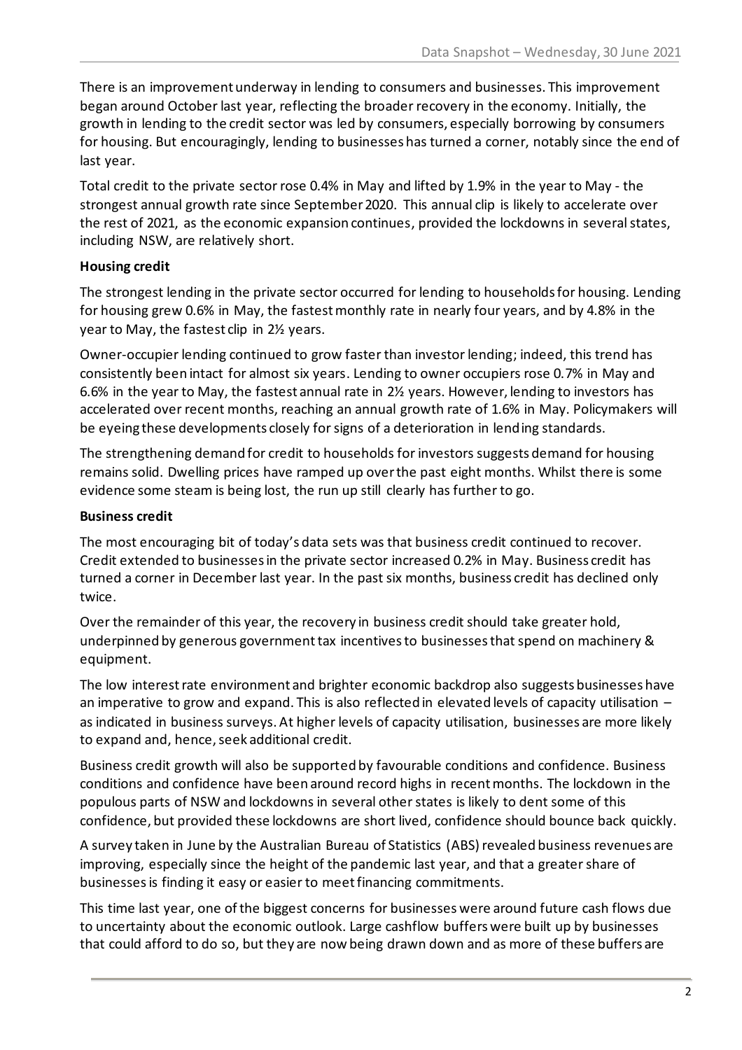There is an improvement underway in lending to consumers and businesses. This improvement began around October last year, reflecting the broader recovery in the economy. Initially, the growth in lending to the credit sector was led by consumers, especially borrowing by consumers for housing. But encouragingly, lending to businesses has turned a corner, notably since the end of last year.

Total credit to the private sector rose 0.4% in May and lifted by 1.9% in the year to May - the strongest annual growth rate since September 2020. This annual clip is likely to accelerate over the rest of 2021, as the economic expansion continues, provided the lockdowns in several states, including NSW, are relatively short.

#### **Housing credit**

The strongest lending in the private sector occurred for lending to households for housing. Lending for housing grew 0.6% in May, the fastest monthly rate in nearly four years, and by 4.8% in the year to May, the fastest clip in 2½ years.

Owner-occupier lending continued to grow faster than investor lending; indeed, this trend has consistently been intact for almost six years. Lending to owner occupiers rose 0.7% in May and 6.6% in the year to May, the fastest annual rate in 2½ years. However, lending to investors has accelerated over recent months, reaching an annual growth rate of 1.6% in May. Policymakers will be eyeing these developments closely for signs of a deterioration in lending standards.

The strengthening demand for credit to households for investors suggests demand for housing remains solid. Dwelling prices have ramped up over the past eight months. Whilst there is some evidence some steam is being lost, the run up still clearly has further to go.

#### **Business credit**

The most encouraging bit of today's data sets was that business credit continued to recover. Credit extended to businesses in the private sector increased 0.2% in May. Business credit has turned a corner in December last year. In the past six months, business credit has declined only twice.

Over the remainder of this year, the recovery in business credit should take greater hold, underpinned by generous government tax incentives to businesses that spend on machinery & equipment.

The low interestrate environment and brighter economic backdrop also suggests businesses have an imperative to grow and expand. This is also reflected in elevated levels of capacity utilisation – as indicated in business surveys. At higher levels of capacity utilisation, businesses are more likely to expand and, hence, seek additional credit.

Business credit growth will also be supported by favourable conditions and confidence. Business conditions and confidence have been around record highs in recent months. The lockdown in the populous parts of NSW and lockdowns in several other states is likely to dent some of this confidence, but provided these lockdowns are short lived, confidence should bounce back quickly.

A survey taken in June by the Australian Bureau of Statistics (ABS) revealed business revenues are improving, especially since the height of the pandemic last year, and that a greater share of businesses is finding it easy or easier to meet financing commitments.

This time last year, one of the biggest concerns for businesses were around future cash flows due to uncertainty about the economic outlook. Large cashflow buffers were built up by businesses that could afford to do so, but they are now being drawn down and as more of these buffers are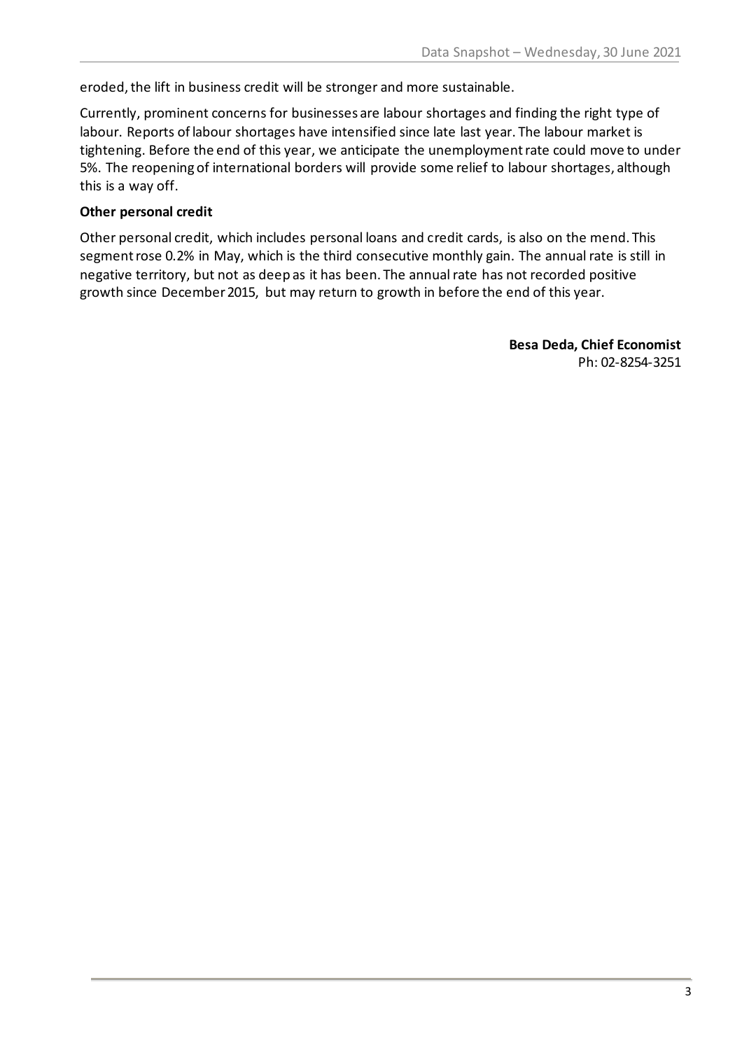eroded, the lift in business credit will be stronger and more sustainable.

Currently, prominent concerns for businesses are labour shortages and finding the right type of labour. Reports of labour shortages have intensified since late last year. The labour market is tightening. Before the end of this year, we anticipate the unemployment rate could move to under 5%. The reopening of international borders will provide some relief to labour shortages, although this is a way off.

#### **Other personal credit**

Other personal credit, which includes personal loans and credit cards, is also on the mend. This segment rose 0.2% in May, which is the third consecutive monthly gain. The annual rate is still in negative territory, but not as deep as it has been. The annual rate has not recorded positive growth since December 2015, but may return to growth in before the end of this year.

> **Besa Deda, Chief Economist** Ph: 02-8254-3251